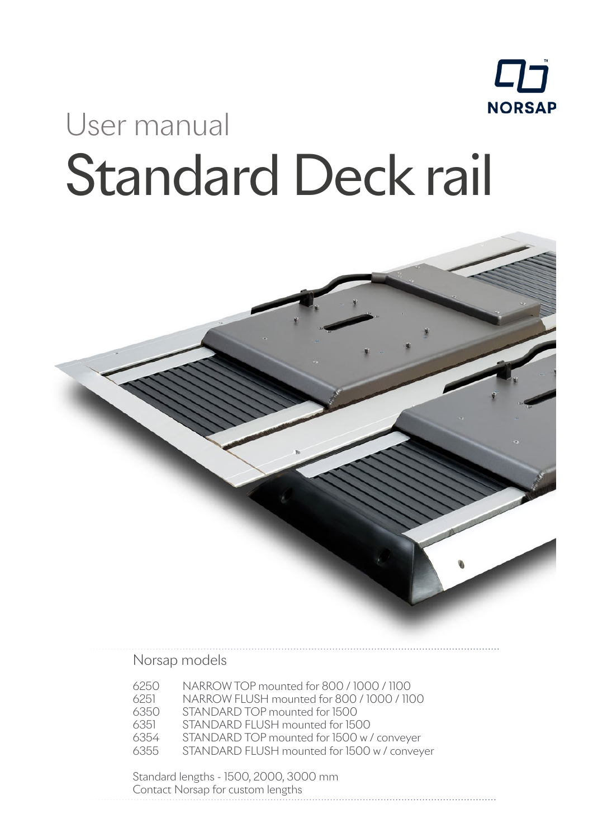

# User manual Standard Deck rail



#### Norsap models

| 6250 | NARROW TOP mounted for 800 / 1000 / 1100     |
|------|----------------------------------------------|
| 6251 | NARROW FLUSH mounted for 800 / 1000 / 1100   |
| 6350 | STANDARD TOP mounted for 1500                |
| 6351 | STANDARD FLUSH mounted for 1500              |
| 6354 | STANDARD TOP mounted for 1500 w / conveyer   |
| 6355 | STANDARD FLUSH mounted for 1500 w / conveyer |

Standard lengths - 1500, 2000, 3000 mm Contact Norsap for custom lengths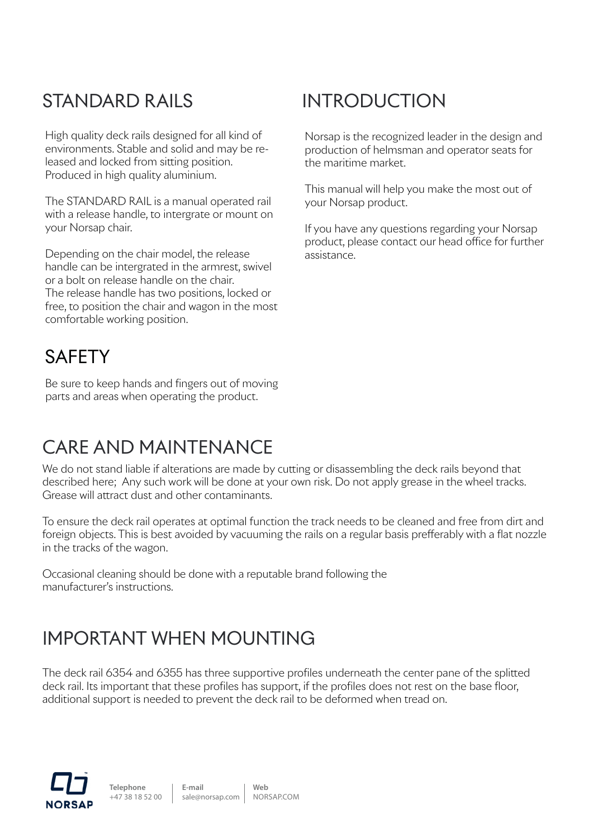# STANDARD RAILS

High quality deck rails designed for all kind of environments. Stable and solid and may be released and locked from sitting position. Produced in high quality aluminium.

The STANDARD RAIL is a manual operated rail with a release handle, to intergrate or mount on your Norsap chair.

Depending on the chair model, the release handle can be intergrated in the armrest, swivel or a bolt on release handle on the chair. The release handle has two positions, locked or free, to position the chair and wagon in the most comfortable working position.

#### **SAFFTY**

Be sure to keep hands and fingers out of moving parts and areas when operating the product.

#### CARE AND MAINTENANCE

We do not stand liable if alterations are made by cutting or disassembling the deck rails beyond that described here; Any such work will be done at your own risk. Do not apply grease in the wheel tracks. Grease will attract dust and other contaminants.

To ensure the deck rail operates at optimal function the track needs to be cleaned and free from dirt and foreign objects. This is best avoided by vacuuming the rails on a regular basis prefferably with a flat nozzle in the tracks of the wagon.

Occasional cleaning should be done with a reputable brand following the manufacturer's instructions.

### IMPORTANT WHEN MOUNTING

The deck rail 6354 and 6355 has three supportive profiles underneath the center pane of the splitted deck rail. Its important that these profiles has support, if the profiles does not rest on the base floor, additional support is needed to prevent the deck rail to be deformed when tread on.



# INTRODUCTION

Norsap is the recognized leader in the design and production of helmsman and operator seats for the maritime market.

This manual will help you make the most out of your Norsap product.

If you have any questions regarding your Norsap product, please contact our head office for further assistance.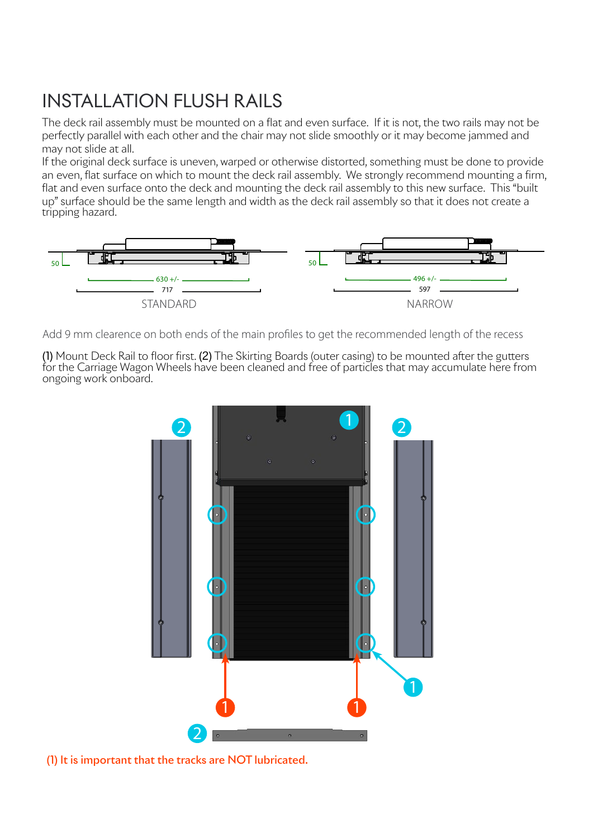# INSTALLATION FLUSH RAILS

The deck rail assembly must be mounted on a flat and even surface. If it is not, the two rails may not be perfectly parallel with each other and the chair may not slide smoothly or it may become jammed and may not slide at all.

If the original deck surface is uneven, warped or otherwise distorted, something must be done to provide an even, flat surface on which to mount the deck rail assembly. We strongly recommend mounting a firm, flat and even surface onto the deck and mounting the deck rail assembly to this new surface. This "built up" surface should be the same length and width as the deck rail assembly so that it does not create a tripping hazard.



Add 9 mm clearence on both ends of the main profiles to get the recommended length of the recess

(1) Mount Deck Rail to floor first. (2) The Skirting Boards (outer casing) to be mounted after the gutters for the Carriage Wagon Wheels have been cleaned and free of particles that may accumulate here from ongoing work onboard.



(1) It is important that the tracks are NOT lubricated.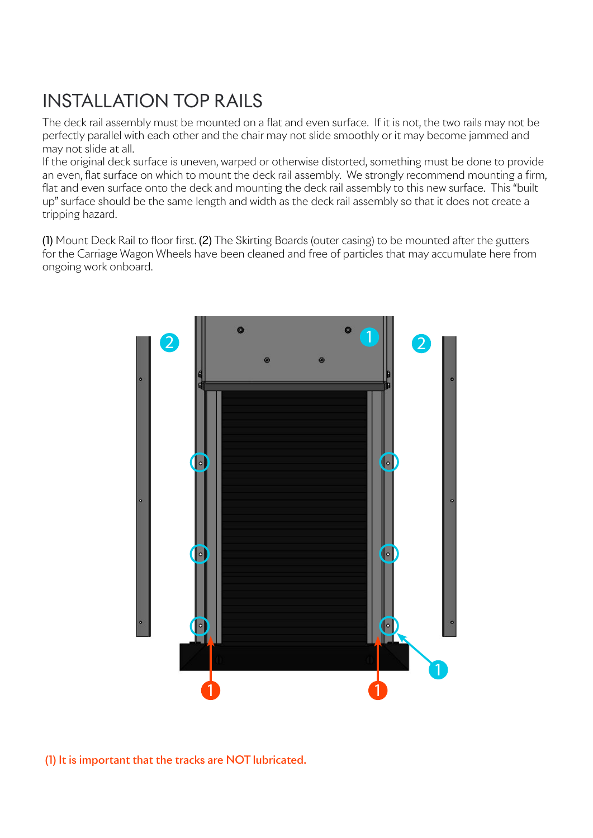# INSTALLATION TOP RAILS

The deck rail assembly must be mounted on a flat and even surface. If it is not, the two rails may not be perfectly parallel with each other and the chair may not slide smoothly or it may become jammed and may not slide at all.

If the original deck surface is uneven, warped or otherwise distorted, something must be done to provide an even, flat surface on which to mount the deck rail assembly. We strongly recommend mounting a firm, flat and even surface onto the deck and mounting the deck rail assembly to this new surface. This "built up" surface should be the same length and width as the deck rail assembly so that it does not create a tripping hazard.

(1) Mount Deck Rail to floor first. (2) The Skirting Boards (outer casing) to be mounted after the gutters for the Carriage Wagon Wheels have been cleaned and free of particles that may accumulate here from ongoing work onboard.



(1) It is important that the tracks are NOT lubricated.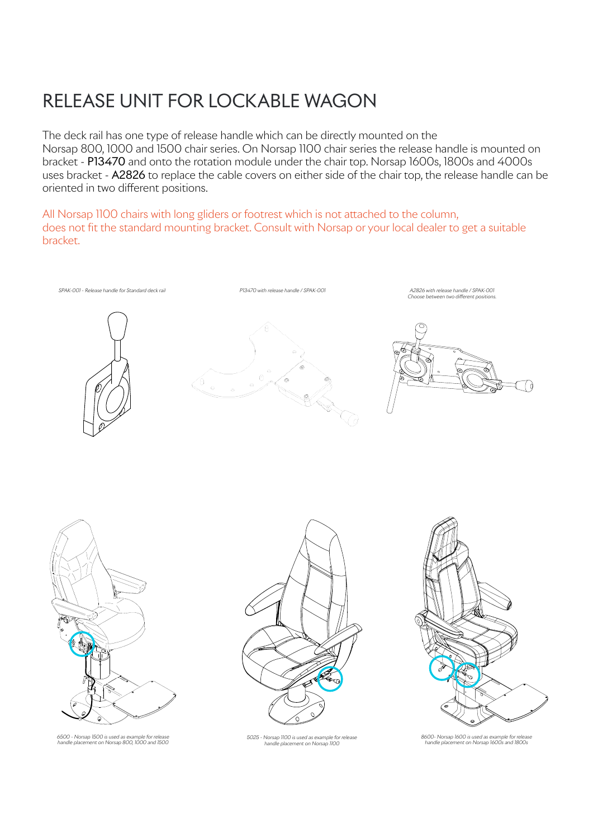# RELEASE UNIT FOR LOCKABLE WAGON

The deck rail has one type of release handle which can be directly mounted on the Norsap 800, 1000 and 1500 chair series. On Norsap 1100 chair series the release handle is mounted on bracket - P13470 and onto the rotation module under the chair top. Norsap 1600s, 1800s and 4000s uses bracket - A2826 to replace the cable covers on either side of the chair top, the release handle can be oriented in two different positions.

All Norsap 1100 chairs with long gliders or footrest which is not attached to the column, does not fit the standard mounting bracket. Consult with Norsap or your local dealer to get a suitable bracket.





6500 - Norsap 1500 is used as example for release handle placement on Norsap 800, 1000 and 1500



5025 - Norsap 1100 is used as example for release handle placement on Norsap 1100



8600- Norsap 1600 is used as example for release handle placement on Norsap 1600s and 1800s